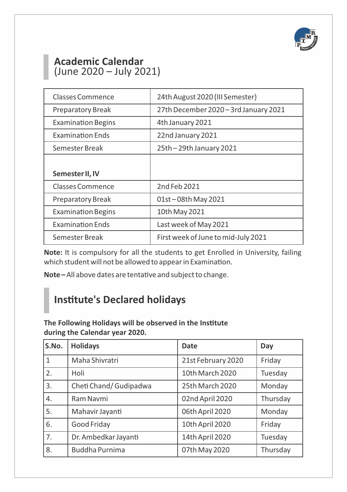

## **Academic Calendar**  (June 2020 – July 2021)

| <b>Classes Commence</b>   | 24th August 2020 (III Semester)       |
|---------------------------|---------------------------------------|
| <b>Preparatory Break</b>  | 27th December 2020 - 3rd January 2021 |
| <b>Examination Begins</b> | 4th January 2021                      |
| <b>Examination Fnds</b>   | 22nd January 2021                     |
| Semester Break            | 25th - 29th January 2021              |
|                           |                                       |
| Semester II, IV           |                                       |
| <b>Classes Commence</b>   | 2nd Feb 2021                          |
| <b>Preparatory Break</b>  | 01st-08th May 2021                    |
| <b>Examination Begins</b> | 10th May 2021                         |
|                           |                                       |
| <b>Examination Fnds</b>   | Last week of May 2021                 |

**Note:** It is compulsory for all the students to get Enrolled in University, failing which student will not be allowed to appear in Examination.

Note-All above dates are tentative and subject to change.

# **Institute's Declared holidays**

The Following Holidays will be observed in the Institute **during the Calendar year 2020.**

| S.No.        | <b>Holidays</b>        | Date               | Day      |
|--------------|------------------------|--------------------|----------|
| $\mathbf{1}$ | Maha Shivratri         | 21st February 2020 | Friday   |
| 2.           | Holi                   | 10th March 2020    | Tuesday  |
| 3.           | Cheti Chand/ Gudipadwa | 25th March 2020    | Monday   |
| 4.           | Ram Navmi              | 02nd April 2020    | Thursday |
| 5.           | Mahavir Jayanti        | 06th April 2020    | Monday   |
| 6.           | Good Friday            | 10th April 2020    | Friday   |
| 7.           | Dr. Ambedkar Jayanti   | 14th April 2020    | Tuesday  |
| 8.           | Buddha Purnima         | 07th May 2020      | Thursday |